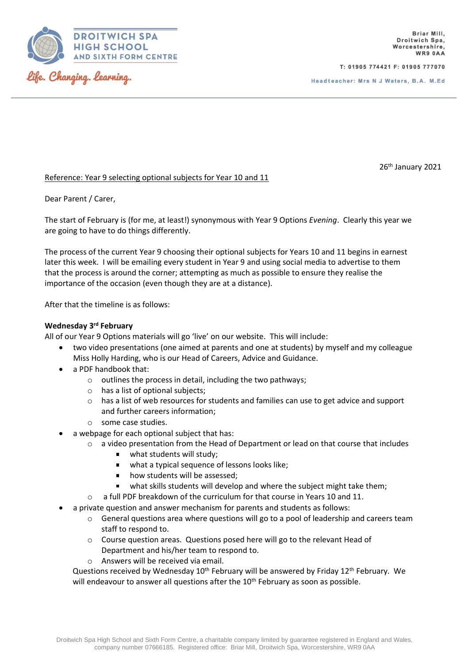

T: 01905 774421 F: 01905 777070

Headteacher: Mrs N J Waters, B.A. M.Ed.

26 th January 2021

## Reference: Year 9 selecting optional subjects for Year 10 and 11

### Dear Parent / Carer,

The start of February is (for me, at least!) synonymous with Year 9 Options *Evening*. Clearly this year we are going to have to do things differently.

The process of the current Year 9 choosing their optional subjects for Years 10 and 11 begins in earnest later this week. I will be emailing every student in Year 9 and using social media to advertise to them that the process is around the corner; attempting as much as possible to ensure they realise the importance of the occasion (even though they are at a distance).

After that the timeline is as follows:

## **Wednesday 3 rd February**

All of our Year 9 Options materials will go 'live' on our website. This will include:

- two video presentations (one aimed at parents and one at students) by myself and my colleague Miss Holly Harding, who is our Head of Careers, Advice and Guidance.
- a PDF handbook that:
	- o outlines the process in detail, including the two pathways;
	- o has a list of optional subjects;
	- o has a list of web resources for students and families can use to get advice and support and further careers information;
	- o some case studies.
- a webpage for each optional subject that has:
	- o a video presentation from the Head of Department or lead on that course that includes
		- what students will study;  $\blacksquare$
		- what a typical sequence of lessons looks like;  $\blacksquare$
		- how students will be assessed;  $\blacksquare$
		- what skills students will develop and where the subject might take them;
	- $\circ$  a full PDF breakdown of the curriculum for that course in Years 10 and 11.
- a private question and answer mechanism for parents and students as follows:
	- o General questions area where questions will go to a pool of leadership and careers team staff to respond to.
	- o Course question areas. Questions posed here will go to the relevant Head of Department and his/her team to respond to.
	- o Answers will be received via email.

Questions received by Wednesday  $10^{th}$  February will be answered by Friday  $12^{th}$  February. We will endeavour to answer all questions after the 10<sup>th</sup> February as soon as possible.